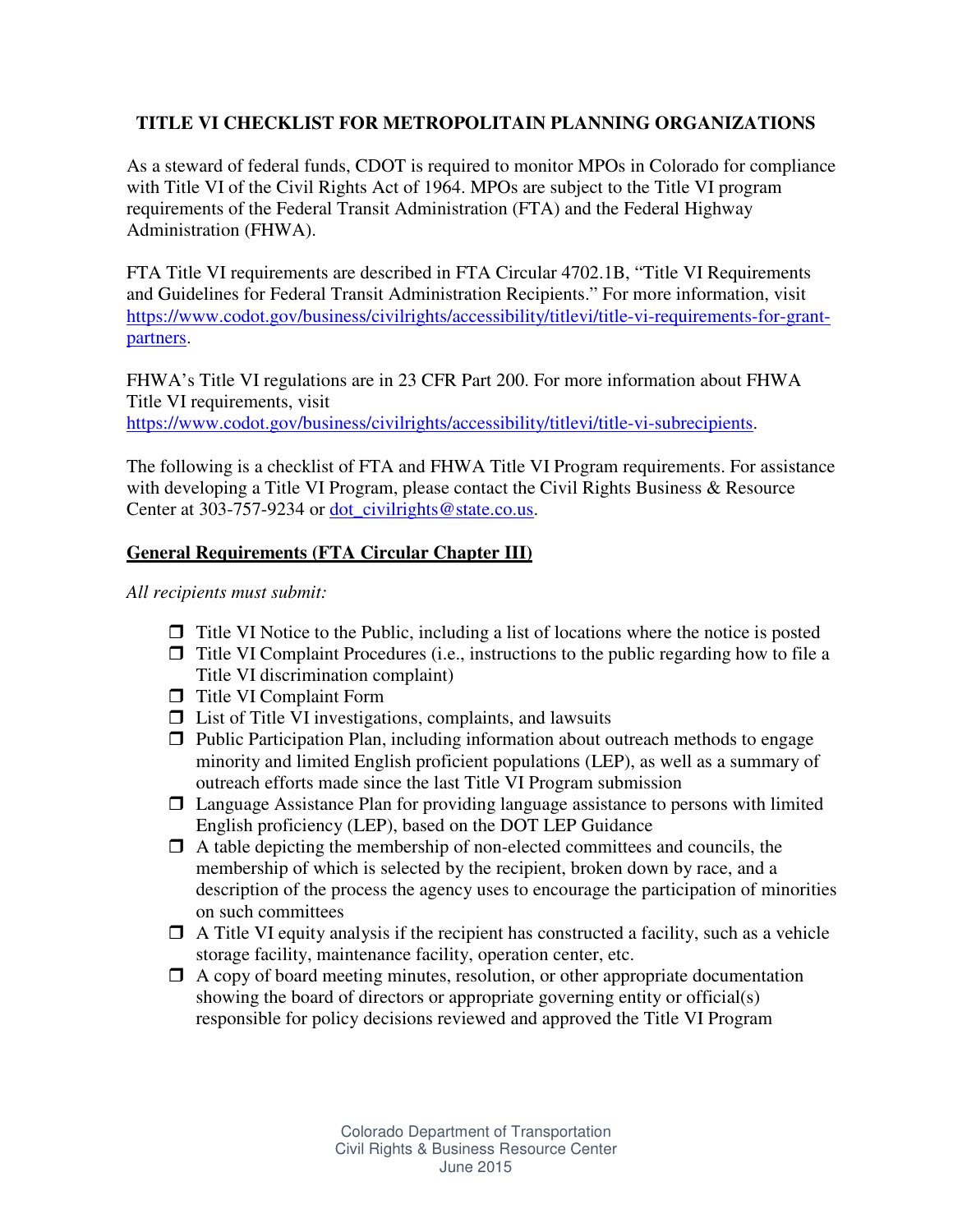# **TITLE VI CHECKLIST FOR METROPOLITAIN PLANNING ORGANIZATIONS**

As a steward of federal funds, CDOT is required to monitor MPOs in Colorado for compliance with Title VI of the Civil Rights Act of 1964. MPOs are subject to the Title VI program requirements of the Federal Transit Administration (FTA) and the Federal Highway Administration (FHWA).

FTA Title VI requirements are described in FTA Circular 4702.1B, "Title VI Requirements and Guidelines for Federal Transit Administration Recipients." For more information, visit https://www.codot.gov/business/civilrights/accessibility/titlevi/title-vi-requirements-for-grantpartners.

FHWA's Title VI regulations are in 23 CFR Part 200. For more information about FHWA Title VI requirements, visit https://www.codot.gov/business/civilrights/accessibility/titlevi/title-vi-subrecipients.

The following is a checklist of FTA and FHWA Title VI Program requirements. For assistance with developing a Title VI Program, please contact the Civil Rights Business & Resource Center at 303-757-9234 or dot\_civilrights@state.co.us.

## **General Requirements (FTA Circular Chapter III)**

*All recipients must submit:* 

- $\Box$  Title VI Notice to the Public, including a list of locations where the notice is posted
- $\Box$  Title VI Complaint Procedures (i.e., instructions to the public regarding how to file a Title VI discrimination complaint)
- **T** Title VI Complaint Form
- $\Box$  List of Title VI investigations, complaints, and lawsuits
- $\Box$  Public Participation Plan, including information about outreach methods to engage minority and limited English proficient populations (LEP), as well as a summary of outreach efforts made since the last Title VI Program submission
- $\Box$  Language Assistance Plan for providing language assistance to persons with limited English proficiency (LEP), based on the DOT LEP Guidance
- $\Box$  A table depicting the membership of non-elected committees and councils, the membership of which is selected by the recipient, broken down by race, and a description of the process the agency uses to encourage the participation of minorities on such committees
- $\Box$  A Title VI equity analysis if the recipient has constructed a facility, such as a vehicle storage facility, maintenance facility, operation center, etc.
- $\Box$  A copy of board meeting minutes, resolution, or other appropriate documentation showing the board of directors or appropriate governing entity or official(s) responsible for policy decisions reviewed and approved the Title VI Program